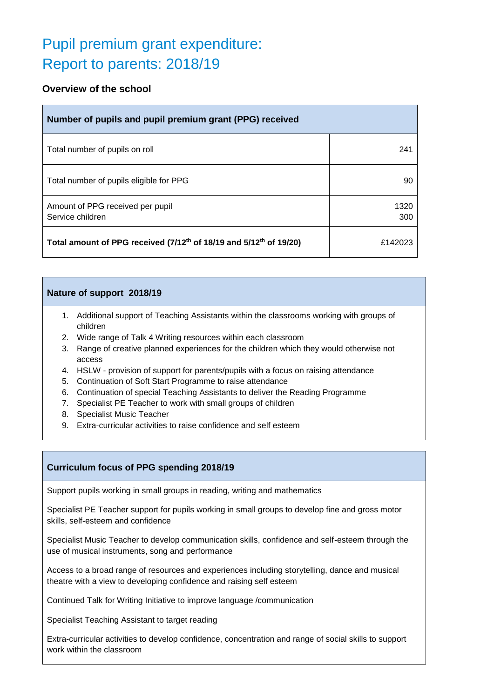# Pupil premium grant expenditure: Report to parents: 2018/19

# **Overview of the school**

| Number of pupils and pupil premium grant (PPG) received                                    |             |  |  |  |
|--------------------------------------------------------------------------------------------|-------------|--|--|--|
| Total number of pupils on roll                                                             | 241         |  |  |  |
| Total number of pupils eligible for PPG                                                    | 90          |  |  |  |
| Amount of PPG received per pupil<br>Service children                                       | 1320<br>300 |  |  |  |
| Total amount of PPG received (7/12 <sup>th</sup> of 18/19 and 5/12 <sup>th</sup> of 19/20) | £142023     |  |  |  |

#### **Nature of support 2018/19**

- 1. Additional support of Teaching Assistants within the classrooms working with groups of children
- 2. Wide range of Talk 4 Writing resources within each classroom
- 3. Range of creative planned experiences for the children which they would otherwise not access
- 4. HSLW provision of support for parents/pupils with a focus on raising attendance
- 5. Continuation of Soft Start Programme to raise attendance
- 6. Continuation of special Teaching Assistants to deliver the Reading Programme
- 7. Specialist PE Teacher to work with small groups of children
- 8. Specialist Music Teacher
- 9. Extra-curricular activities to raise confidence and self esteem

## **Curriculum focus of PPG spending 2018/19**

Support pupils working in small groups in reading, writing and mathematics

Specialist PE Teacher support for pupils working in small groups to develop fine and gross motor skills, self-esteem and confidence

Specialist Music Teacher to develop communication skills, confidence and self-esteem through the use of musical instruments, song and performance

Access to a broad range of resources and experiences including storytelling, dance and musical theatre with a view to developing confidence and raising self esteem

Continued Talk for Writing Initiative to improve language /communication

Specialist Teaching Assistant to target reading

Extra-curricular activities to develop confidence, concentration and range of social skills to support work within the classroom